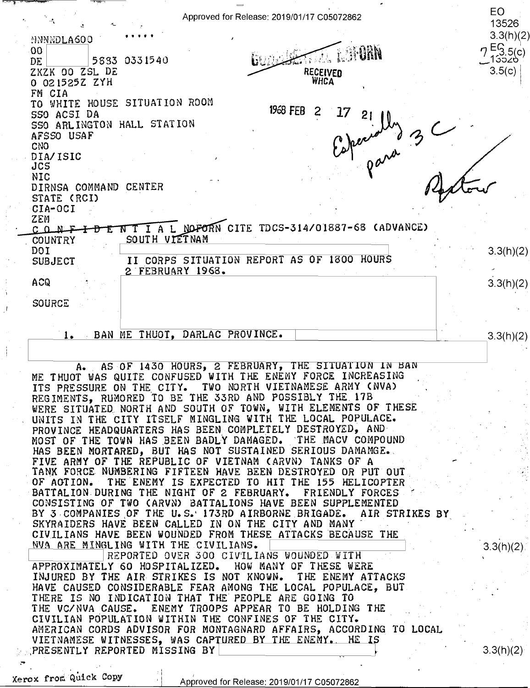|                                          | Approved for Release: 2019/01/17 C05072862                                                                                      | EO<br>13526            |
|------------------------------------------|---------------------------------------------------------------------------------------------------------------------------------|------------------------|
|                                          |                                                                                                                                 | 3.3(h)(2)              |
| <b>NNNNDLA600</b><br>00                  |                                                                                                                                 |                        |
| DE                                       | 5833 0331540                                                                                                                    | $7\frac{E}{13520}^{C}$ |
| ZKZK 00 ZSL DE                           | RECEIVED                                                                                                                        | 3.5(c)                 |
| 0 021525Z ZYH                            | WHCA                                                                                                                            |                        |
| FM CIA                                   |                                                                                                                                 |                        |
| TO WHITE HOUSE SITUATION ROOM            | 1968 FEB<br>2                                                                                                                   |                        |
| SSO ACSI DA                              | 21                                                                                                                              |                        |
| SSO ARLINGTON HALL STATION<br>AFSSO USAF |                                                                                                                                 |                        |
| <b>CNO</b>                               |                                                                                                                                 |                        |
| DIA/ISIC                                 |                                                                                                                                 |                        |
| JCS                                      |                                                                                                                                 |                        |
| <b>NIC</b>                               |                                                                                                                                 |                        |
| DIRNSA COMMAND                           | <b>CENTER</b>                                                                                                                   |                        |
| STATE (RCI)<br>CIA-OCI                   |                                                                                                                                 |                        |
| ZEM                                      |                                                                                                                                 |                        |
| $C_0 M F$                                | A L NOFORN CITE TDCS-314/01887-68 (ADVANCE)                                                                                     |                        |
| COUNTRY                                  | SOUTH VIETNAM                                                                                                                   |                        |
| DOI                                      |                                                                                                                                 | 3.3(h)(2)              |
| <b>SUBJECT</b>                           | II CORPS SITUATION REPORT AS OF 1800 HOURS                                                                                      |                        |
| <b>ACQ</b>                               | 2 FEBRUARY 1968.                                                                                                                |                        |
|                                          |                                                                                                                                 | 3.3(h)(2)              |
| <b>SOURCE</b>                            |                                                                                                                                 |                        |
|                                          |                                                                                                                                 |                        |
|                                          |                                                                                                                                 |                        |
| 1.                                       | BAN ME THUOT, DARLAC PROVINCE.                                                                                                  | 3.3(h)(2)              |
|                                          |                                                                                                                                 |                        |
|                                          | A. AS OF 1430 HOURS, 2 FEBRUARY, THE SITUATION IN BAN                                                                           |                        |
|                                          | ME THUOT WAS QUITE CONFUSED WITH THE ENEMY FORCE INCREASING                                                                     |                        |
|                                          | ITS PRESSURE ON THE CITY. TWO NORTH VIETNAMESE ARMY (NVA)                                                                       |                        |
|                                          | REGIMENTS, RUMORED TO BE THE 33RD AND POSSIBLY THE 17B                                                                          |                        |
|                                          | WERE SITUATED NORTH AND SOUTH OF TOWN, WITH ELEMENTS OF THESE                                                                   |                        |
|                                          | UNITS IN THE CITY ITSELF MINGLING WITH THE LOCAL POPULACE.                                                                      |                        |
|                                          | PROVINCE HEADQUARTERS HAS BEEN COMPLETELY DESTROYED, AND                                                                        |                        |
|                                          | MOST OF THE TOWN HAS BEEN BADLY DAMAGED. THE MACV COMPOUND HAS BEEN MORTARED, BUT HAS NOT SUSTAINED SERIOUS DAMAMGE.            |                        |
|                                          | FIVE ARMY OF THE REPUBLIC OF VIETNAM (ARVN) TANKS OF A                                                                          |                        |
|                                          | TANK FORCE NUMBERING FIFTEEN HAVE BEEN DESTROYED OR PUT OUT                                                                     |                        |
|                                          | OF ACTION. THE ENEMY IS EXPECTED TO HIT THE 155 HELICOPTER                                                                      |                        |
|                                          | BATTALION DURING THE NIGHT OF 2 FEBRUARY. FRIENDLY FORCES                                                                       |                        |
|                                          | CONSISTING OF TWO (ARVN) BATTALIONS HAVE BEEN SUPPLEMENTED<br>BY 3 COMPANIES OF THE U.S. 173RD AIRBORNE BRIGADE. AIR STRIKES BY |                        |
|                                          | SKYRAIDERS HAVE BEEN CALLED IN ON THE CITY AND MANY                                                                             |                        |
|                                          | CIVILIANS HAVE BEEN WOUNDED FROM THESE ATTACKS BECAUSE THE                                                                      |                        |

NVA ARE MINGLING WITH THE CIVILIANS. In the state of the state of the state of the state of the state of the state of the state of the state of the state of the state of the state of the state of the state of the state of CIVILIANS HAVE BEEN WOUNDED FROM THESE ATTACKS BECAUS<br>
NUA ARE MINGLING WITH THE CIVILIANS.<br>
REPORTED OVER 300 CIVILIANS WOUNDED WITH<br>
APPROXIMATELY 60 HOSPITALIZED. HOW MANY OF THESE WEE APPROXIMATELY 60 HOSPITALIZED. HOW MANY OF THESE WERE APPROXIMATELY'GO HOSPITALIZED. HOV MANY OF THESE HERE INJURED BY THE AIR STRIKES IS NOT KNOWN. THE ENEMY ATTACKS INJURED BY THE AIR-STRIKES IS NOT HNONN. THE ENEMY ATTACKS HAVE CAUSED CONSIDERABLE FEAR AMONG THE LOCAL POPULACE, BUT HAVE CAUSED CONSIDERABLE FEAR AMONG THE LOCAL POPULACE, BUT. THERE IS NO INDICATION THAT THE PEOPLE ARE GOING TO THE VC/NVA CAUSE. ENEMY TROOPS APPEAR TO BE HOLDING THE CIVILIAN POPULATION WITHIN THE CONFINES OF THE CITY. CIVILIAN POPULATION WITHIN THE CONFINES OF THE CITY.<br>AMERICAN CORDS ADVISOR FOR MONTAGNARD AFFAIRS, ACCORDING TO LOCAL fluit fluit fl VIETNAMESE WITNESSES, WAS CAP1=URED BY THE ENEMY.. HE IS ,PRESENTLY REPORTED MISSING BY I~-**\_\_\_\_\_\_\_\_\_ \_\_\_\_Jf·**  VIETNAMESE VITNESSES, MAS CAPEUREDBIIMEENEMIE'HEIf .. - .. -  $\overline{R}$ EPORTED OVER 300 CIVILIANS WOUNDED WITH  $\overline{R}$  . Y  $\overline{R}$  ,  $\overline{R}$  ,  $\overline{R}$  ,  $\overline{R}$  ,  $\overline{R}$  ,  $\overline{R}$  ,  $\overline{R}$  ,  $\overline{R}$  ,  $\overline{R}$  ,  $\overline{R}$  ,  $\overline{R}$  ,  $\overline{R}$  ,  $\overline{R}$  ,  $\overline{R}$  ,  $\overline{R$ PRESENTLY REPORTED MISSING BY

Xerox from Quick Copy

·'

3.3(h)(2)

3.3(h)(2)

.- I